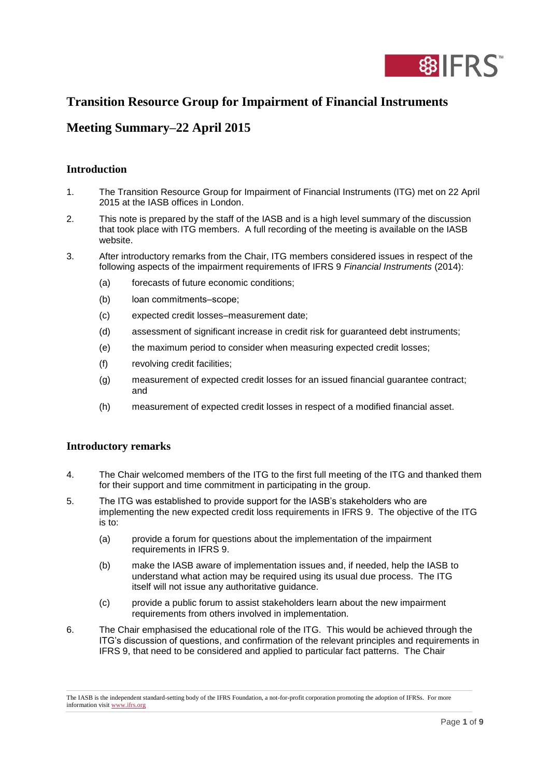

# **Transition Resource Group for Impairment of Financial Instruments**

# **Meeting Summary–22 April 2015**

## **Introduction**

- 1. The Transition Resource Group for Impairment of Financial Instruments (ITG) met on 22 April 2015 at the IASB offices in London.
- 2. This note is prepared by the staff of the IASB and is a high level summary of the discussion that took place with ITG members. A full recording of the meeting is available on the IASB website.
- 3. After introductory remarks from the Chair, ITG members considered issues in respect of the following aspects of the impairment requirements of IFRS 9 *Financial Instruments* (2014):
	- (a) forecasts of future economic conditions;
	- (b) loan commitments-scope;
	- (c) expected credit losses–measurement date;
	- (d) assessment of significant increase in credit risk for guaranteed debt instruments;
	- (e) the maximum period to consider when measuring expected credit losses;
	- (f) revolving credit facilities;
	- (g) measurement of expected credit losses for an issued financial guarantee contract; and
	- (h) measurement of expected credit losses in respect of a modified financial asset.

## **Introductory remarks**

- 4. The Chair welcomed members of the ITG to the first full meeting of the ITG and thanked them for their support and time commitment in participating in the group.
- 5. The ITG was established to provide support for the IASB's stakeholders who are implementing the new expected credit loss requirements in IFRS 9. The objective of the ITG is to:
	- (a) provide a forum for questions about the implementation of the impairment requirements in IFRS 9.
	- (b) make the IASB aware of implementation issues and, if needed, help the IASB to understand what action may be required using its usual due process. The ITG itself will not issue any authoritative guidance.
	- (c) provide a public forum to assist stakeholders learn about the new impairment requirements from others involved in implementation.
- 6. The Chair emphasised the educational role of the ITG. This would be achieved through the ITG's discussion of questions, and confirmation of the relevant principles and requirements in IFRS 9, that need to be considered and applied to particular fact patterns. The Chair

The IASB is the independent standard-setting body of the IFRS Foundation, a not-for-profit corporation promoting the adoption of IFRSs. For more information visi[t www.ifrs.org](http://www.ifrs.org/)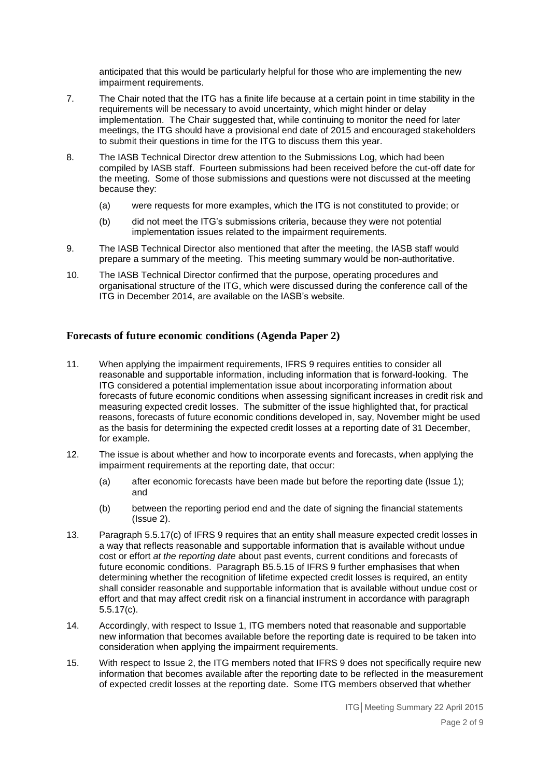anticipated that this would be particularly helpful for those who are implementing the new impairment requirements.

- 7. The Chair noted that the ITG has a finite life because at a certain point in time stability in the requirements will be necessary to avoid uncertainty, which might hinder or delay implementation. The Chair suggested that, while continuing to monitor the need for later meetings, the ITG should have a provisional end date of 2015 and encouraged stakeholders to submit their questions in time for the ITG to discuss them this year.
- 8. The IASB Technical Director drew attention to the Submissions Log, which had been compiled by IASB staff. Fourteen submissions had been received before the cut-off date for the meeting. Some of those submissions and questions were not discussed at the meeting because they:
	- (a) were requests for more examples, which the ITG is not constituted to provide; or
	- (b) did not meet the ITG's submissions criteria, because they were not potential implementation issues related to the impairment requirements.
- 9. The IASB Technical Director also mentioned that after the meeting, the IASB staff would prepare a summary of the meeting. This meeting summary would be non-authoritative.
- 10. The IASB Technical Director confirmed that the purpose, operating procedures and organisational structure of the ITG, which were discussed during the conference call of the ITG in December 2014, are available on the IASB's website.

## **Forecasts of future economic conditions (Agenda Paper 2)**

- 11. When applying the impairment requirements, IFRS 9 requires entities to consider all reasonable and supportable information, including information that is forward-looking. The ITG considered a potential implementation issue about incorporating information about forecasts of future economic conditions when assessing significant increases in credit risk and measuring expected credit losses. The submitter of the issue highlighted that, for practical reasons, forecasts of future economic conditions developed in, say, November might be used as the basis for determining the expected credit losses at a reporting date of 31 December, for example.
- 12. The issue is about whether and how to incorporate events and forecasts, when applying the impairment requirements at the reporting date, that occur:
	- (a) after economic forecasts have been made but before the reporting date (Issue 1); and
	- (b) between the reporting period end and the date of signing the financial statements (Issue 2).
- 13. Paragraph 5.5.17(c) of IFRS 9 requires that an entity shall measure expected credit losses in a way that reflects reasonable and supportable information that is available without undue cost or effort *at the reporting date* about past events, current conditions and forecasts of future economic conditions. Paragraph B5.5.15 of IFRS 9 further emphasises that when determining whether the recognition of lifetime expected credit losses is required, an entity shall consider reasonable and supportable information that is available without undue cost or effort and that may affect credit risk on a financial instrument in accordance with paragraph 5.5.17(c).
- 14. Accordingly, with respect to Issue 1, ITG members noted that reasonable and supportable new information that becomes available before the reporting date is required to be taken into consideration when applying the impairment requirements.
- 15. With respect to Issue 2, the ITG members noted that IFRS 9 does not specifically require new information that becomes available after the reporting date to be reflected in the measurement of expected credit losses at the reporting date. Some ITG members observed that whether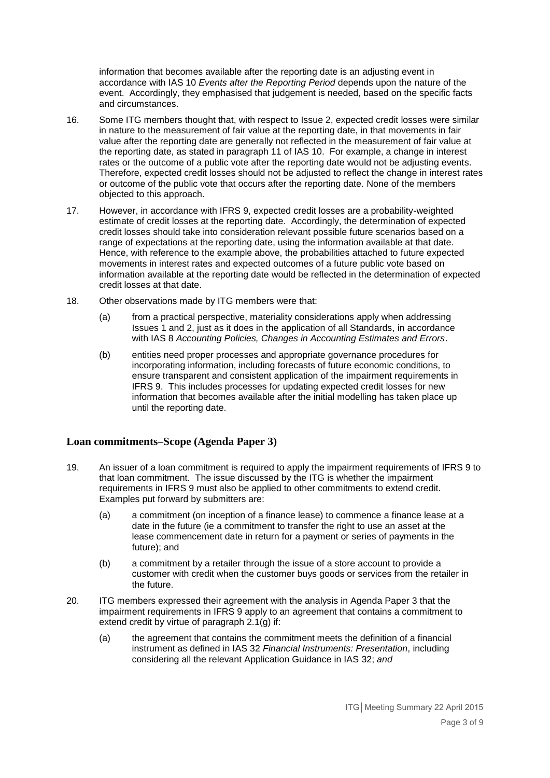information that becomes available after the reporting date is an adjusting event in accordance with IAS 10 *Events after the Reporting Period* depends upon the nature of the event. Accordingly, they emphasised that judgement is needed, based on the specific facts and circumstances.

- 16. Some ITG members thought that, with respect to Issue 2, expected credit losses were similar in nature to the measurement of fair value at the reporting date, in that movements in fair value after the reporting date are generally not reflected in the measurement of fair value at the reporting date, as stated in paragraph 11 of IAS 10. For example, a change in interest rates or the outcome of a public vote after the reporting date would not be adjusting events. Therefore, expected credit losses should not be adjusted to reflect the change in interest rates or outcome of the public vote that occurs after the reporting date. None of the members objected to this approach.
- 17. However, in accordance with IFRS 9, expected credit losses are a probability-weighted estimate of credit losses at the reporting date. Accordingly, the determination of expected credit losses should take into consideration relevant possible future scenarios based on a range of expectations at the reporting date, using the information available at that date. Hence, with reference to the example above, the probabilities attached to future expected movements in interest rates and expected outcomes of a future public vote based on information available at the reporting date would be reflected in the determination of expected credit losses at that date.
- 18. Other observations made by ITG members were that:
	- (a) from a practical perspective, materiality considerations apply when addressing Issues 1 and 2, just as it does in the application of all Standards, in accordance with IAS 8 *Accounting Policies, Changes in Accounting Estimates and Errors*.
	- (b) entities need proper processes and appropriate governance procedures for incorporating information, including forecasts of future economic conditions, to ensure transparent and consistent application of the impairment requirements in IFRS 9. This includes processes for updating expected credit losses for new information that becomes available after the initial modelling has taken place up until the reporting date.

## **Loan commitments–Scope (Agenda Paper 3)**

- 19. An issuer of a loan commitment is required to apply the impairment requirements of IFRS 9 to that loan commitment. The issue discussed by the ITG is whether the impairment requirements in IFRS 9 must also be applied to other commitments to extend credit. Examples put forward by submitters are:
	- (a) a commitment (on inception of a finance lease) to commence a finance lease at a date in the future (ie a commitment to transfer the right to use an asset at the lease commencement date in return for a payment or series of payments in the future); and
	- (b) a commitment by a retailer through the issue of a store account to provide a customer with credit when the customer buys goods or services from the retailer in the future.
- 20. ITG members expressed their agreement with the analysis in Agenda Paper 3 that the impairment requirements in IFRS 9 apply to an agreement that contains a commitment to extend credit by virtue of paragraph 2.1(g) if:
	- (a) the agreement that contains the commitment meets the definition of a financial instrument as defined in IAS 32 *Financial Instruments: Presentation*, including considering all the relevant Application Guidance in IAS 32; *and*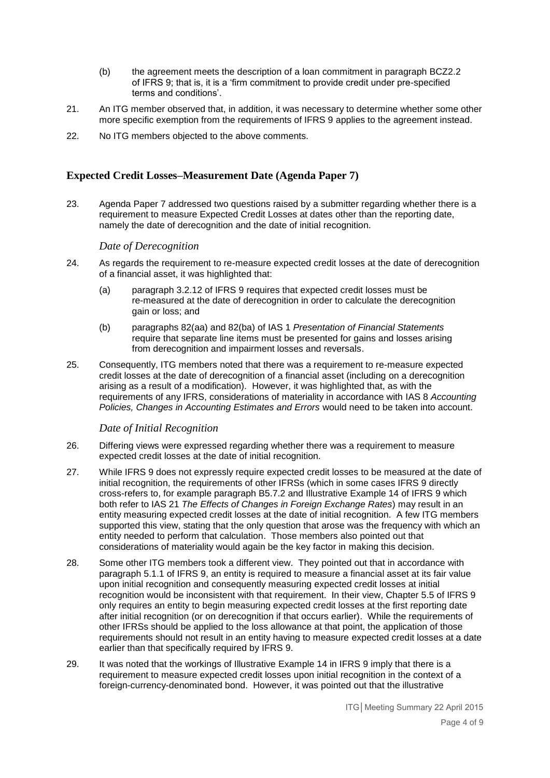- (b) the agreement meets the description of a loan commitment in paragraph BCZ2.2 of IFRS 9; that is, it is a 'firm commitment to provide credit under pre-specified terms and conditions'.
- 21. An ITG member observed that, in addition, it was necessary to determine whether some other more specific exemption from the requirements of IFRS 9 applies to the agreement instead.
- 22. No ITG members objected to the above comments.

#### **Expected Credit Losses–Measurement Date (Agenda Paper 7)**

23. Agenda Paper 7 addressed two questions raised by a submitter regarding whether there is a requirement to measure Expected Credit Losses at dates other than the reporting date, namely the date of derecognition and the date of initial recognition.

#### *Date of Derecognition*

- 24. As regards the requirement to re-measure expected credit losses at the date of derecognition of a financial asset, it was highlighted that:
	- (a) paragraph 3.2.12 of IFRS 9 requires that expected credit losses must be re-measured at the date of derecognition in order to calculate the derecognition gain or loss; and
	- (b) paragraphs 82(aa) and 82(ba) of IAS 1 *Presentation of Financial Statements*  require that separate line items must be presented for gains and losses arising from derecognition and impairment losses and reversals.
- 25. Consequently, ITG members noted that there was a requirement to re-measure expected credit losses at the date of derecognition of a financial asset (including on a derecognition arising as a result of a modification). However, it was highlighted that, as with the requirements of any IFRS, considerations of materiality in accordance with IAS 8 *Accounting Policies, Changes in Accounting Estimates and Errors* would need to be taken into account.

#### *Date of Initial Recognition*

- 26. Differing views were expressed regarding whether there was a requirement to measure expected credit losses at the date of initial recognition.
- 27. While IFRS 9 does not expressly require expected credit losses to be measured at the date of initial recognition, the requirements of other IFRSs (which in some cases IFRS 9 directly cross-refers to, for example paragraph B5.7.2 and Illustrative Example 14 of IFRS 9 which both refer to IAS 21 *The Effects of Changes in Foreign Exchange Rates*) may result in an entity measuring expected credit losses at the date of initial recognition. A few ITG members supported this view, stating that the only question that arose was the frequency with which an entity needed to perform that calculation. Those members also pointed out that considerations of materiality would again be the key factor in making this decision.
- 28. Some other ITG members took a different view. They pointed out that in accordance with paragraph 5.1.1 of IFRS 9, an entity is required to measure a financial asset at its fair value upon initial recognition and consequently measuring expected credit losses at initial recognition would be inconsistent with that requirement. In their view, Chapter 5.5 of IFRS 9 only requires an entity to begin measuring expected credit losses at the first reporting date after initial recognition (or on derecognition if that occurs earlier). While the requirements of other IFRSs should be applied to the loss allowance at that point, the application of those requirements should not result in an entity having to measure expected credit losses at a date earlier than that specifically required by IFRS 9.
- 29. It was noted that the workings of Illustrative Example 14 in IFRS 9 imply that there is a requirement to measure expected credit losses upon initial recognition in the context of a foreign-currency-denominated bond. However, it was pointed out that the illustrative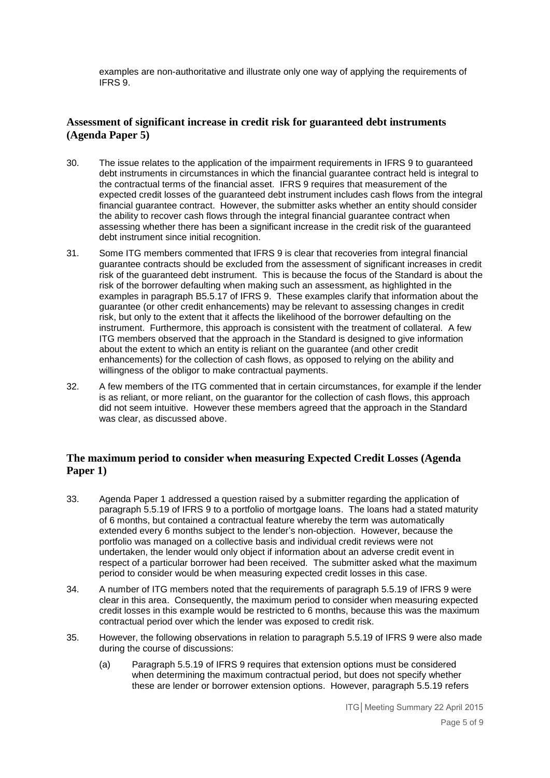examples are non-authoritative and illustrate only one way of applying the requirements of IFRS 9.

## **Assessment of significant increase in credit risk for guaranteed debt instruments (Agenda Paper 5)**

- 30. The issue relates to the application of the impairment requirements in IFRS 9 to guaranteed debt instruments in circumstances in which the financial guarantee contract held is integral to the contractual terms of the financial asset. IFRS 9 requires that measurement of the expected credit losses of the guaranteed debt instrument includes cash flows from the integral financial guarantee contract. However, the submitter asks whether an entity should consider the ability to recover cash flows through the integral financial guarantee contract when assessing whether there has been a significant increase in the credit risk of the guaranteed debt instrument since initial recognition.
- 31. Some ITG members commented that IFRS 9 is clear that recoveries from integral financial guarantee contracts should be excluded from the assessment of significant increases in credit risk of the guaranteed debt instrument. This is because the focus of the Standard is about the risk of the borrower defaulting when making such an assessment, as highlighted in the examples in paragraph B5.5.17 of IFRS 9. These examples clarify that information about the guarantee (or other credit enhancements) may be relevant to assessing changes in credit risk, but only to the extent that it affects the likelihood of the borrower defaulting on the instrument. Furthermore, this approach is consistent with the treatment of collateral. A few ITG members observed that the approach in the Standard is designed to give information about the extent to which an entity is reliant on the guarantee (and other credit enhancements) for the collection of cash flows, as opposed to relying on the ability and willingness of the obligor to make contractual payments.
- 32. A few members of the ITG commented that in certain circumstances, for example if the lender is as reliant, or more reliant, on the guarantor for the collection of cash flows, this approach did not seem intuitive. However these members agreed that the approach in the Standard was clear, as discussed above.

## **The maximum period to consider when measuring Expected Credit Losses (Agenda Paper 1)**

- 33. Agenda Paper 1 addressed a question raised by a submitter regarding the application of paragraph 5.5.19 of IFRS 9 to a portfolio of mortgage loans. The loans had a stated maturity of 6 months, but contained a contractual feature whereby the term was automatically extended every 6 months subject to the lender's non-objection. However, because the portfolio was managed on a collective basis and individual credit reviews were not undertaken, the lender would only object if information about an adverse credit event in respect of a particular borrower had been received. The submitter asked what the maximum period to consider would be when measuring expected credit losses in this case.
- 34. A number of ITG members noted that the requirements of paragraph 5.5.19 of IFRS 9 were clear in this area. Consequently, the maximum period to consider when measuring expected credit losses in this example would be restricted to 6 months, because this was the maximum contractual period over which the lender was exposed to credit risk.
- 35. However, the following observations in relation to paragraph 5.5.19 of IFRS 9 were also made during the course of discussions:
	- (a) Paragraph 5.5.19 of IFRS 9 requires that extension options must be considered when determining the maximum contractual period, but does not specify whether these are lender or borrower extension options. However, paragraph 5.5.19 refers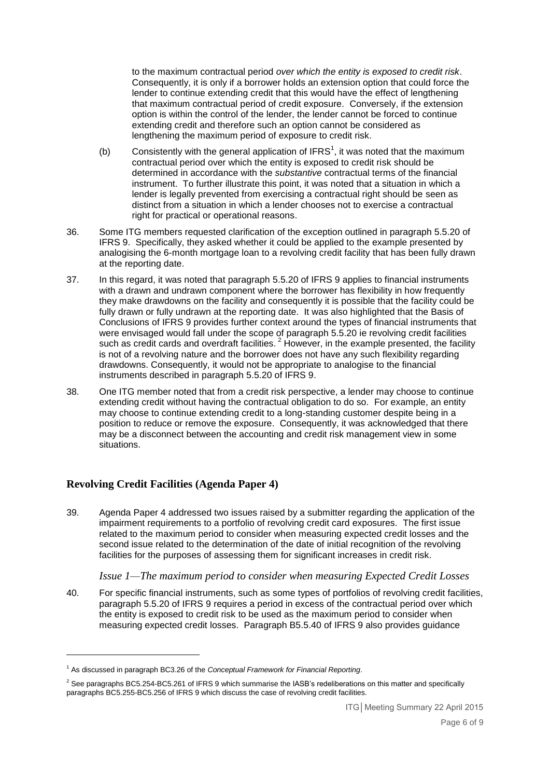to the maximum contractual period *over which the entity is exposed to credit risk*. Consequently, it is only if a borrower holds an extension option that could force the lender to continue extending credit that this would have the effect of lengthening that maximum contractual period of credit exposure. Conversely, if the extension option is within the control of the lender, the lender cannot be forced to continue extending credit and therefore such an option cannot be considered as lengthening the maximum period of exposure to credit risk.

- (b) Consistently with the general application of IFRS<sup>1</sup>, it was noted that the maximum contractual period over which the entity is exposed to credit risk should be determined in accordance with the *substantive* contractual terms of the financial instrument. To further illustrate this point, it was noted that a situation in which a lender is legally prevented from exercising a contractual right should be seen as distinct from a situation in which a lender chooses not to exercise a contractual right for practical or operational reasons.
- 36. Some ITG members requested clarification of the exception outlined in paragraph 5.5.20 of IFRS 9. Specifically, they asked whether it could be applied to the example presented by analogising the 6-month mortgage loan to a revolving credit facility that has been fully drawn at the reporting date.
- 37. In this regard, it was noted that paragraph 5.5.20 of IFRS 9 applies to financial instruments with a drawn and undrawn component where the borrower has flexibility in how frequently they make drawdowns on the facility and consequently it is possible that the facility could be fully drawn or fully undrawn at the reporting date. It was also highlighted that the Basis of Conclusions of IFRS 9 provides further context around the types of financial instruments that were envisaged would fall under the scope of paragraph 5.5.20 ie revolving credit facilities such as credit cards and overdraft facilities.<sup>2</sup> However, in the example presented, the facility is not of a revolving nature and the borrower does not have any such flexibility regarding drawdowns. Consequently, it would not be appropriate to analogise to the financial instruments described in paragraph 5.5.20 of IFRS 9.
- 38. One ITG member noted that from a credit risk perspective, a lender may choose to continue extending credit without having the contractual obligation to do so. For example, an entity may choose to continue extending credit to a long-standing customer despite being in a position to reduce or remove the exposure. Consequently, it was acknowledged that there may be a disconnect between the accounting and credit risk management view in some situations.

## **Revolving Credit Facilities (Agenda Paper 4)**

<u>.</u>

39. Agenda Paper 4 addressed two issues raised by a submitter regarding the application of the impairment requirements to a portfolio of revolving credit card exposures. The first issue related to the maximum period to consider when measuring expected credit losses and the second issue related to the determination of the date of initial recognition of the revolving facilities for the purposes of assessing them for significant increases in credit risk.

#### *Issue 1—The maximum period to consider when measuring Expected Credit Losses*

40. For specific financial instruments, such as some types of portfolios of revolving credit facilities, paragraph 5.5.20 of IFRS 9 requires a period in excess of the contractual period over which the entity is exposed to credit risk to be used as the maximum period to consider when measuring expected credit losses. Paragraph B5.5.40 of IFRS 9 also provides guidance

<sup>1</sup> As discussed in paragraph BC3.26 of the *Conceptual Framework for Financial Reporting*.

 $2$  See paragraphs BC5.254-BC5.261 of IFRS 9 which summarise the IASB's redeliberations on this matter and specifically paragraphs BC5.255-BC5.256 of IFRS 9 which discuss the case of revolving credit facilities.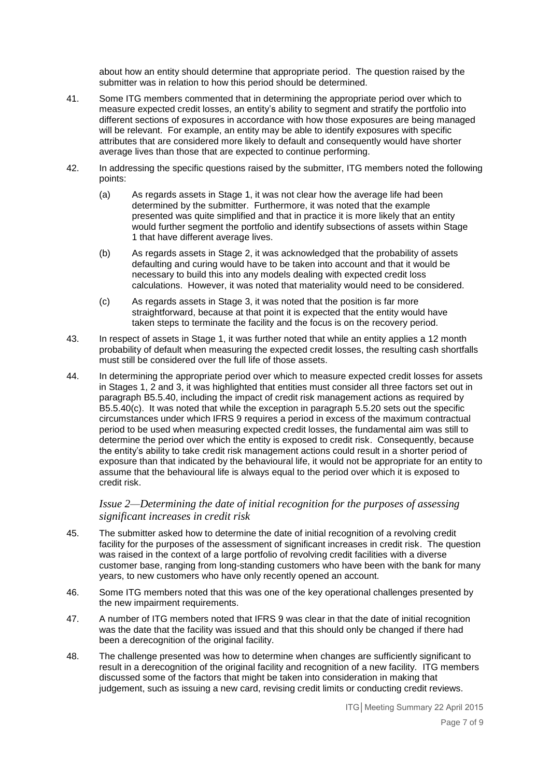about how an entity should determine that appropriate period. The question raised by the submitter was in relation to how this period should be determined.

- 41. Some ITG members commented that in determining the appropriate period over which to measure expected credit losses, an entity's ability to segment and stratify the portfolio into different sections of exposures in accordance with how those exposures are being managed will be relevant. For example, an entity may be able to identify exposures with specific attributes that are considered more likely to default and consequently would have shorter average lives than those that are expected to continue performing.
- 42. In addressing the specific questions raised by the submitter, ITG members noted the following points:
	- (a) As regards assets in Stage 1, it was not clear how the average life had been determined by the submitter. Furthermore, it was noted that the example presented was quite simplified and that in practice it is more likely that an entity would further segment the portfolio and identify subsections of assets within Stage 1 that have different average lives.
	- (b) As regards assets in Stage 2, it was acknowledged that the probability of assets defaulting and curing would have to be taken into account and that it would be necessary to build this into any models dealing with expected credit loss calculations. However, it was noted that materiality would need to be considered.
	- (c) As regards assets in Stage 3, it was noted that the position is far more straightforward, because at that point it is expected that the entity would have taken steps to terminate the facility and the focus is on the recovery period.
- 43. In respect of assets in Stage 1, it was further noted that while an entity applies a 12 month probability of default when measuring the expected credit losses, the resulting cash shortfalls must still be considered over the full life of those assets.
- 44. In determining the appropriate period over which to measure expected credit losses for assets in Stages 1, 2 and 3, it was highlighted that entities must consider all three factors set out in paragraph B5.5.40, including the impact of credit risk management actions as required by B5.5.40(c). It was noted that while the exception in paragraph 5.5.20 sets out the specific circumstances under which IFRS 9 requires a period in excess of the maximum contractual period to be used when measuring expected credit losses, the fundamental aim was still to determine the period over which the entity is exposed to credit risk. Consequently, because the entity's ability to take credit risk management actions could result in a shorter period of exposure than that indicated by the behavioural life, it would not be appropriate for an entity to assume that the behavioural life is always equal to the period over which it is exposed to credit risk.

#### *Issue 2—Determining the date of initial recognition for the purposes of assessing significant increases in credit risk*

- 45. The submitter asked how to determine the date of initial recognition of a revolving credit facility for the purposes of the assessment of significant increases in credit risk. The question was raised in the context of a large portfolio of revolving credit facilities with a diverse customer base, ranging from long-standing customers who have been with the bank for many years, to new customers who have only recently opened an account.
- 46. Some ITG members noted that this was one of the key operational challenges presented by the new impairment requirements.
- 47. A number of ITG members noted that IFRS 9 was clear in that the date of initial recognition was the date that the facility was issued and that this should only be changed if there had been a derecognition of the original facility.
- 48. The challenge presented was how to determine when changes are sufficiently significant to result in a derecognition of the original facility and recognition of a new facility. ITG members discussed some of the factors that might be taken into consideration in making that judgement, such as issuing a new card, revising credit limits or conducting credit reviews.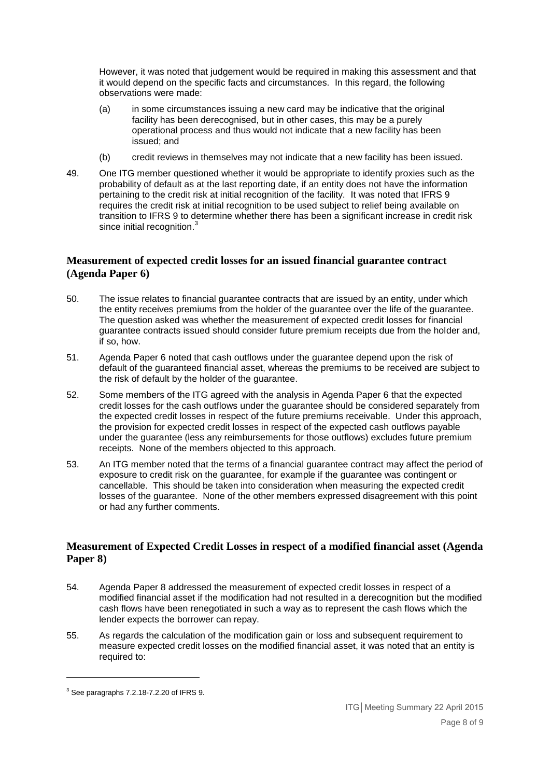However, it was noted that judgement would be required in making this assessment and that it would depend on the specific facts and circumstances. In this regard, the following observations were made:

- (a) in some circumstances issuing a new card may be indicative that the original facility has been derecognised, but in other cases, this may be a purely operational process and thus would not indicate that a new facility has been issued; and
- (b) credit reviews in themselves may not indicate that a new facility has been issued.
- 49. One ITG member questioned whether it would be appropriate to identify proxies such as the probability of default as at the last reporting date, if an entity does not have the information pertaining to the credit risk at initial recognition of the facility. It was noted that IFRS 9 requires the credit risk at initial recognition to be used subject to relief being available on transition to IFRS 9 to determine whether there has been a significant increase in credit risk since initial recognition.<sup>3</sup>

## **Measurement of expected credit losses for an issued financial guarantee contract (Agenda Paper 6)**

- 50. The issue relates to financial guarantee contracts that are issued by an entity, under which the entity receives premiums from the holder of the guarantee over the life of the guarantee. The question asked was whether the measurement of expected credit losses for financial guarantee contracts issued should consider future premium receipts due from the holder and, if so, how.
- 51. Agenda Paper 6 noted that cash outflows under the guarantee depend upon the risk of default of the guaranteed financial asset, whereas the premiums to be received are subject to the risk of default by the holder of the guarantee.
- 52. Some members of the ITG agreed with the analysis in Agenda Paper 6 that the expected credit losses for the cash outflows under the guarantee should be considered separately from the expected credit losses in respect of the future premiums receivable. Under this approach, the provision for expected credit losses in respect of the expected cash outflows payable under the guarantee (less any reimbursements for those outflows) excludes future premium receipts. None of the members objected to this approach.
- 53. An ITG member noted that the terms of a financial guarantee contract may affect the period of exposure to credit risk on the guarantee, for example if the guarantee was contingent or cancellable. This should be taken into consideration when measuring the expected credit losses of the guarantee. None of the other members expressed disagreement with this point or had any further comments.

## **Measurement of Expected Credit Losses in respect of a modified financial asset (Agenda Paper 8)**

- 54. Agenda Paper 8 addressed the measurement of expected credit losses in respect of a modified financial asset if the modification had not resulted in a derecognition but the modified cash flows have been renegotiated in such a way as to represent the cash flows which the lender expects the borrower can repay.
- 55. As regards the calculation of the modification gain or loss and subsequent requirement to measure expected credit losses on the modified financial asset, it was noted that an entity is required to:

1

<sup>3</sup> See paragraphs 7.2.18-7.2.20 of IFRS 9.